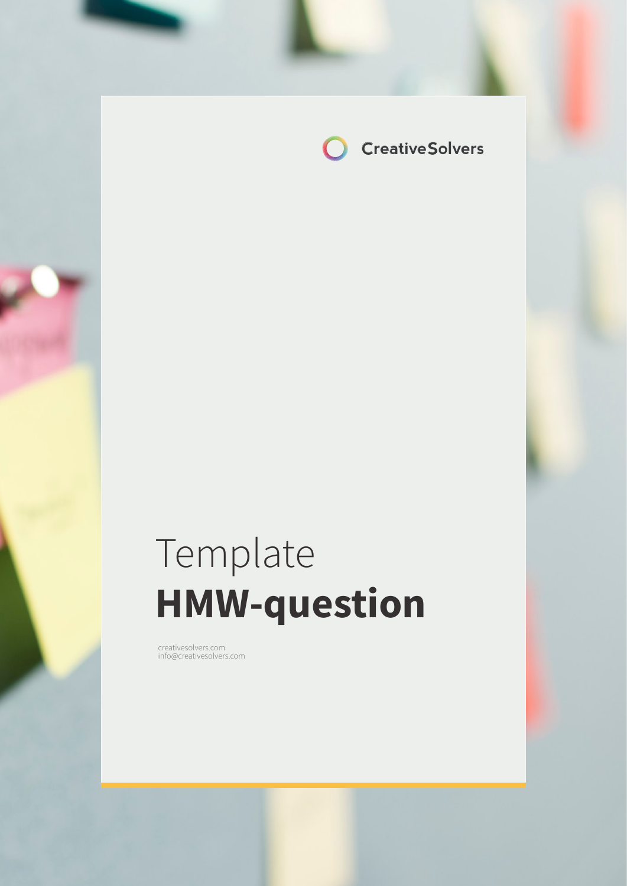

# Template **HMW-question**

creativesolvers.com info@creativesolvers.com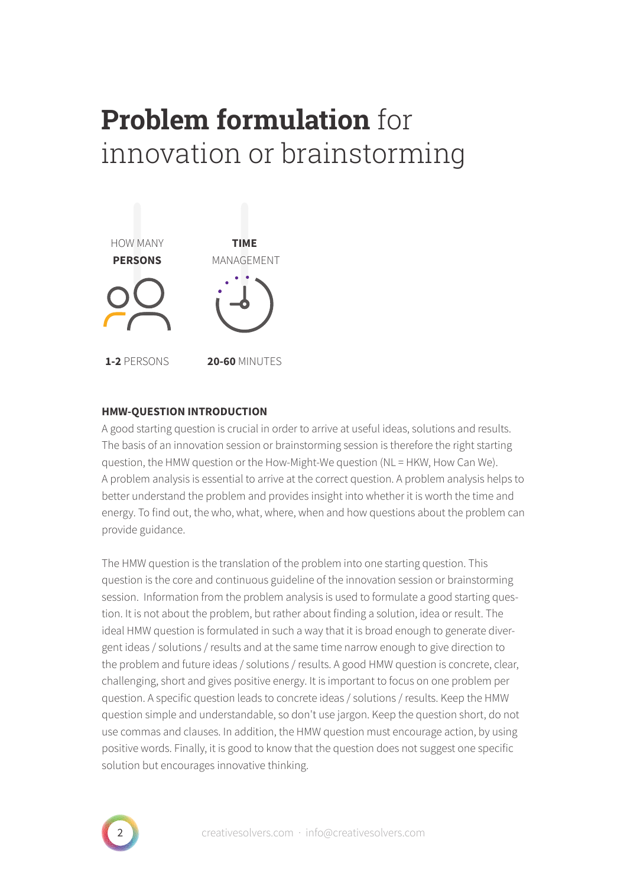## **Problem formulation** for innovation or brainstorming



### **HMW-QUESTION INTRODUCTION**

A good starting question is crucial in order to arrive at useful ideas, solutions and results. The basis of an innovation session or brainstorming session is therefore the right starting question, the HMW question or the How-Might-We question (NL = HKW, How Can We). A problem analysis is essential to arrive at the correct question. A problem analysis helps to better understand the problem and provides insight into whether it is worth the time and energy. To find out, the who, what, where, when and how questions about the problem can provide guidance.

The HMW question is the translation of the problem into one starting question. This question is the core and continuous guideline of the innovation session or brainstorming session. Information from the problem analysis is used to formulate a good starting question. It is not about the problem, but rather about finding a solution, idea or result. The ideal HMW question is formulated in such a way that it is broad enough to generate divergent ideas / solutions / results and at the same time narrow enough to give direction to the problem and future ideas / solutions / results. A good HMW question is concrete, clear, challenging, short and gives positive energy. It is important to focus on one problem per question. A specific question leads to concrete ideas / solutions / results. Keep the HMW question simple and understandable, so don't use jargon. Keep the question short, do not use commas and clauses. In addition, the HMW question must encourage action, by using positive words. Finally, it is good to know that the question does not suggest one specific solution but encourages innovative thinking.

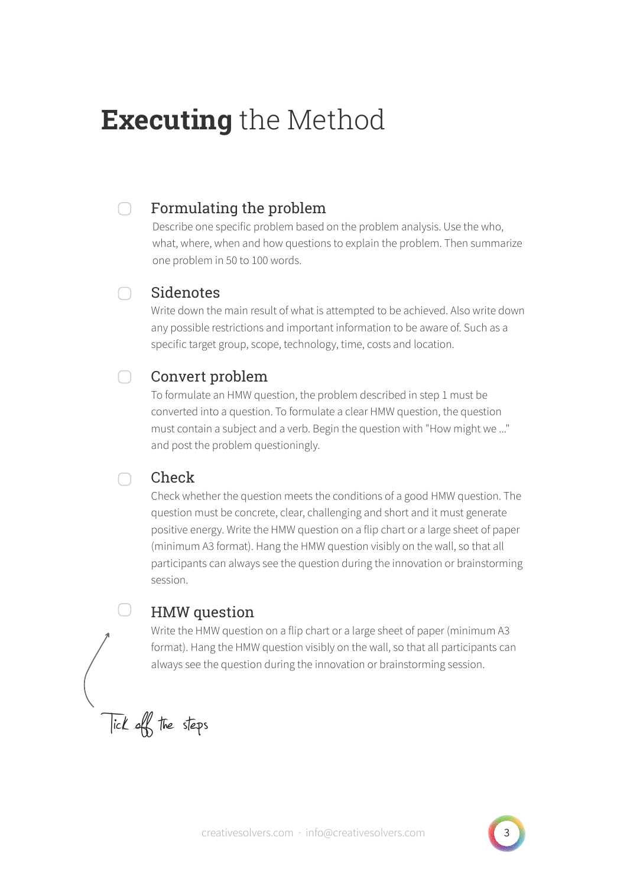## **Executing** the Method

#### Formulating the problem  $\Box$

Describe one specific problem based on the problem analysis. Use the who, what, where, when and how questions to explain the problem. Then summarize one problem in 50 to 100 words.

### **Sidenotes**

 $\cap$ 

 $\bigcap$ 

Write down the main result of what is attempted to be achieved. Also write down any possible restrictions and important information to be aware of. Such as a specific target group, scope, technology, time, costs and location.

#### $\bigcap$ Convert problem

To formulate an HMW question, the problem described in step 1 must be converted into a question. To formulate a clear HMW question, the question must contain a subject and a verb. Begin the question with "How might we ..." and post the problem questioningly.

## Check

Check whether the question meets the conditions of a good HMW question. The question must be concrete, clear, challenging and short and it must generate positive energy. Write the HMW question on a flip chart or a large sheet of paper (minimum A3 format). Hang the HMW question visibly on the wall, so that all participants can always see the question during the innovation or brainstorming session.

## HMW question

Write the HMW question on a flip chart or a large sheet of paper (minimum A3 format). Hang the HMW question visibly on the wall, so that all participants can always see the question during the innovation or brainstorming session.

Tick off the steps